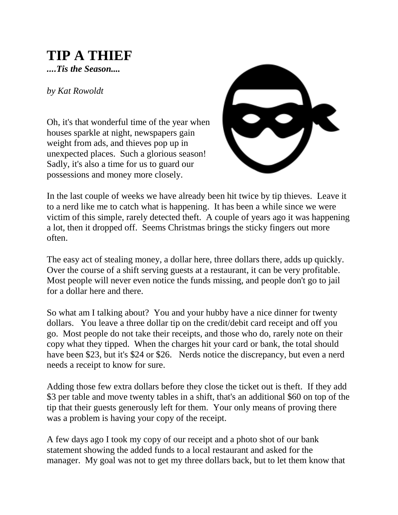## **TIP A THIEF**

*....Tis the Season....*

*by Kat Rowoldt*

Oh, it's that wonderful time of the year when houses sparkle at night, newspapers gain weight from ads, and thieves pop up in unexpected places. Such a glorious season! Sadly, it's also a time for us to guard our possessions and money more closely.



In the last couple of weeks we have already been hit twice by tip thieves. Leave it to a nerd like me to catch what is happening. It has been a while since we were victim of this simple, rarely detected theft. A couple of years ago it was happening a lot, then it dropped off. Seems Christmas brings the sticky fingers out more often.

The easy act of stealing money, a dollar here, three dollars there, adds up quickly. Over the course of a shift serving guests at a restaurant, it can be very profitable. Most people will never even notice the funds missing, and people don't go to jail for a dollar here and there.

So what am I talking about? You and your hubby have a nice dinner for twenty dollars. You leave a three dollar tip on the credit/debit card receipt and off you go. Most people do not take their receipts, and those who do, rarely note on their copy what they tipped. When the charges hit your card or bank, the total should have been \$23, but it's \$24 or \$26. Nerds notice the discrepancy, but even a nerd needs a receipt to know for sure.

Adding those few extra dollars before they close the ticket out is theft. If they add \$3 per table and move twenty tables in a shift, that's an additional \$60 on top of the tip that their guests generously left for them. Your only means of proving there was a problem is having your copy of the receipt.

A few days ago I took my copy of our receipt and a photo shot of our bank statement showing the added funds to a local restaurant and asked for the manager. My goal was not to get my three dollars back, but to let them know that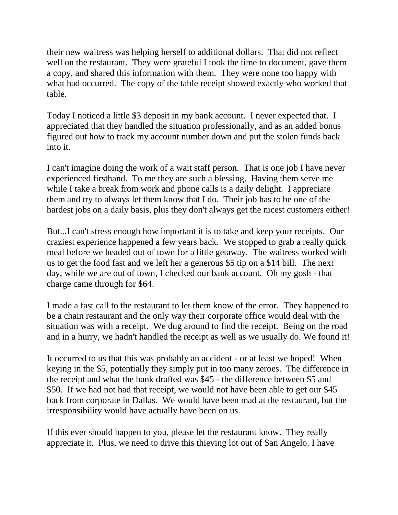their new waitress was helping herself to additional dollars. That did not reflect well on the restaurant. They were grateful I took the time to document, gave them a copy, and shared this information with them. They were none too happy with what had occurred. The copy of the table receipt showed exactly who worked that table.

Today I noticed a little \$3 deposit in my bank account. I never expected that. I appreciated that they handled the situation professionally, and as an added bonus figured out how to track my account number down and put the stolen funds back into it.

I can't imagine doing the work of a wait staff person. That is one job I have never experienced firsthand. To me they are such a blessing. Having them serve me while I take a break from work and phone calls is a daily delight. I appreciate them and try to always let them know that I do. Their job has to be one of the hardest jobs on a daily basis, plus they don't always get the nicest customers either!

But...I can't stress enough how important it is to take and keep your receipts. Our craziest experience happened a few years back. We stopped to grab a really quick meal before we headed out of town for a little getaway. The waitress worked with us to get the food fast and we left her a generous \$5 tip on a \$14 bill. The next day, while we are out of town, I checked our bank account. Oh my gosh - that charge came through for \$64.

I made a fast call to the restaurant to let them know of the error. They happened to be a chain restaurant and the only way their corporate office would deal with the situation was with a receipt. We dug around to find the receipt. Being on the road and in a hurry, we hadn't handled the receipt as well as we usually do. We found it!

It occurred to us that this was probably an accident - or at least we hoped! When keying in the \$5, potentially they simply put in too many zeroes. The difference in the receipt and what the bank drafted was \$45 - the difference between \$5 and \$50. If we had not had that receipt, we would not have been able to get our \$45 back from corporate in Dallas. We would have been mad at the restaurant, but the irresponsibility would have actually have been on us.

If this ever should happen to you, please let the restaurant know. They really appreciate it. Plus, we need to drive this thieving lot out of San Angelo. I have